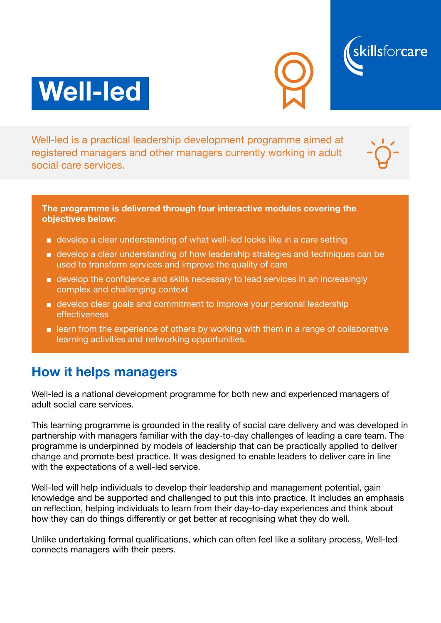





Well-led is a practical leadership development programme aimed at registered managers and other managers currently working in adult social care services.



#### The programme is delivered through four interactive modules covering the objectives below:

- develop a clear understanding of what well-led looks like in a care setting
- develop a clear understanding of how leadership strategies and techniques can be used to transform services and improve the quality of care
- develop the confidence and skills necessary to lead services in an increasingly complex and challenging context
- develop clear goals and commitment to improve your personal leadership effectiveness
- learn from the experience of others by working with them in a range of collaborative learning activities and networking opportunities.

### How it helps managers

Well-led is a national development programme for both new and experienced managers of adult social care services.

This learning programme is grounded in the reality of social care delivery and was developed in partnership with managers familiar with the day-to-day challenges of leading a care team. The programme is underpinned by models of leadership that can be practically applied to deliver change and promote best practice. It was designed to enable leaders to deliver care in line with the expectations of a well-led service.

Well-led will help individuals to develop their leadership and management potential, gain knowledge and be supported and challenged to put this into practice. It includes an emphasis on reflection, helping individuals to learn from their day-to-day experiences and think about how they can do things differently or get better at recognising what they do well.

Unlike undertaking formal qualifications, which can often feel like a solitary process, Well-led connects managers with their peers.